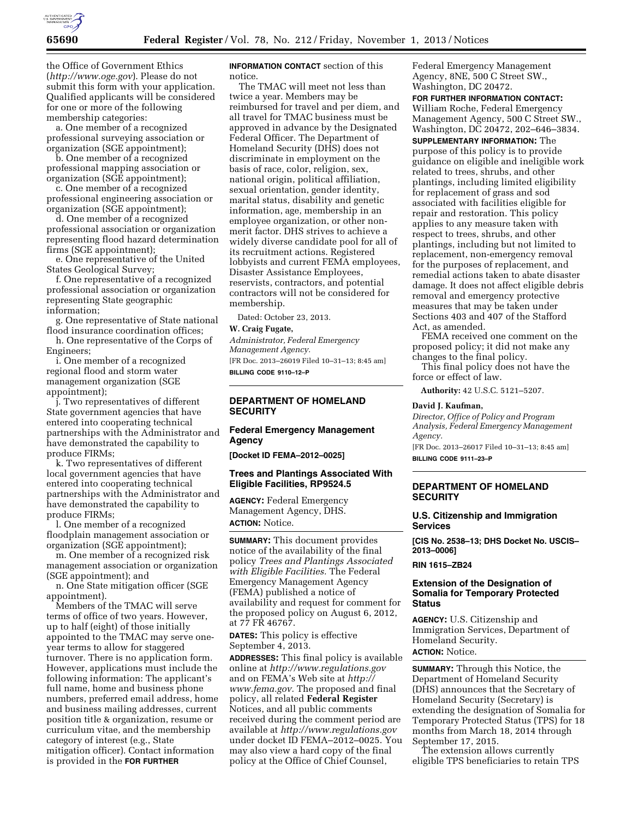

the Office of Government Ethics (*<http://www.oge.gov>*). Please do not submit this form with your application. Qualified applicants will be considered for one or more of the following membership categories:

a. One member of a recognized professional surveying association or organization (SGE appointment);

b. One member of a recognized professional mapping association or organization (SGE appointment);

c. One member of a recognized professional engineering association or organization (SGE appointment);

d. One member of a recognized professional association or organization representing flood hazard determination firms (SGE appointment);

e. One representative of the United States Geological Survey;

f. One representative of a recognized professional association or organization representing State geographic information;

g. One representative of State national flood insurance coordination offices;

h. One representative of the Corps of Engineers;

i. One member of a recognized regional flood and storm water management organization (SGE appointment);

j. Two representatives of different State government agencies that have entered into cooperating technical partnerships with the Administrator and have demonstrated the capability to produce FIRMs;

k. Two representatives of different local government agencies that have entered into cooperating technical partnerships with the Administrator and have demonstrated the capability to produce FIRMs;

l. One member of a recognized floodplain management association or organization (SGE appointment);

m. One member of a recognized risk management association or organization (SGE appointment); and

n. One State mitigation officer (SGE appointment).

Members of the TMAC will serve terms of office of two years. However, up to half (eight) of those initially appointed to the TMAC may serve oneyear terms to allow for staggered turnover. There is no application form. However, applications must include the following information: The applicant's full name, home and business phone numbers, preferred email address, home and business mailing addresses, current position title & organization, resume or curriculum vitae, and the membership category of interest (e.g., State mitigation officer). Contact information is provided in the **FOR FURTHER**

**INFORMATION CONTACT** section of this notice.

The TMAC will meet not less than twice a year. Members may be reimbursed for travel and per diem, and all travel for TMAC business must be approved in advance by the Designated Federal Officer. The Department of Homeland Security (DHS) does not discriminate in employment on the basis of race, color, religion, sex, national origin, political affiliation, sexual orientation, gender identity, marital status, disability and genetic information, age, membership in an employee organization, or other nonmerit factor. DHS strives to achieve a widely diverse candidate pool for all of its recruitment actions. Registered lobbyists and current FEMA employees, Disaster Assistance Employees, reservists, contractors, and potential contractors will not be considered for membership.

Dated: October 23, 2013.

# **W. Craig Fugate,**

*Administrator, Federal Emergency Management Agency.*  [FR Doc. 2013–26019 Filed 10–31–13; 8:45 am]

**BILLING CODE 9110–12–P** 

## **DEPARTMENT OF HOMELAND SECURITY**

## **Federal Emergency Management Agency**

**[Docket ID FEMA–2012–0025]** 

#### **Trees and Plantings Associated With Eligible Facilities, RP9524.5**

**AGENCY:** Federal Emergency Management Agency, DHS. **ACTION:** Notice.

**SUMMARY:** This document provides notice of the availability of the final policy *Trees and Plantings Associated with Eligible Facilities.* The Federal Emergency Management Agency (FEMA) published a notice of availability and request for comment for the proposed policy on August 6, 2012, at 77 FR 46767.

**DATES:** This policy is effective September 4, 2013.

**ADDRESSES:** This final policy is available online at *<http://www.regulations.gov>*  and on FEMA's Web site at *[http://](http://www.fema.gov) [www.fema.gov.](http://www.fema.gov)* The proposed and final policy, all related **Federal Register**  Notices, and all public comments received during the comment period are available at *<http://www.regulations.gov>* under docket ID FEMA–2012–0025. You may also view a hard copy of the final policy at the Office of Chief Counsel,

Federal Emergency Management Agency, 8NE, 500 C Street SW., Washington, DC 20472.

**FOR FURTHER INFORMATION CONTACT:**  William Roche, Federal Emergency Management Agency, 500 C Street SW., Washington, DC 20472, 202–646–3834.

**SUPPLEMENTARY INFORMATION:** The purpose of this policy is to provide guidance on eligible and ineligible work related to trees, shrubs, and other plantings, including limited eligibility for replacement of grass and sod associated with facilities eligible for repair and restoration. This policy applies to any measure taken with respect to trees, shrubs, and other plantings, including but not limited to replacement, non-emergency removal for the purposes of replacement, and remedial actions taken to abate disaster damage. It does not affect eligible debris removal and emergency protective measures that may be taken under Sections 403 and 407 of the Stafford Act, as amended.

FEMA received one comment on the proposed policy; it did not make any changes to the final policy.

This final policy does not have the force or effect of law.

**Authority:** 42 U.S.C. 5121–5207.

#### **David J. Kaufman,**

*Director, Office of Policy and Program Analysis, Federal Emergency Management Agency.* 

[FR Doc. 2013–26017 Filed 10–31–13; 8:45 am] **BILLING CODE 9111–23–P** 

# **DEPARTMENT OF HOMELAND SECURITY**

### **U.S. Citizenship and Immigration Services**

**[CIS No. 2538–13; DHS Docket No. USCIS– 2013–0006]** 

**RIN 1615–ZB24** 

# **Extension of the Designation of Somalia for Temporary Protected Status**

**AGENCY:** U.S. Citizenship and Immigration Services, Department of Homeland Security. **ACTION:** Notice.

**SUMMARY:** Through this Notice, the Department of Homeland Security (DHS) announces that the Secretary of Homeland Security (Secretary) is extending the designation of Somalia for Temporary Protected Status (TPS) for 18 months from March 18, 2014 through

September 17, 2015. The extension allows currently eligible TPS beneficiaries to retain TPS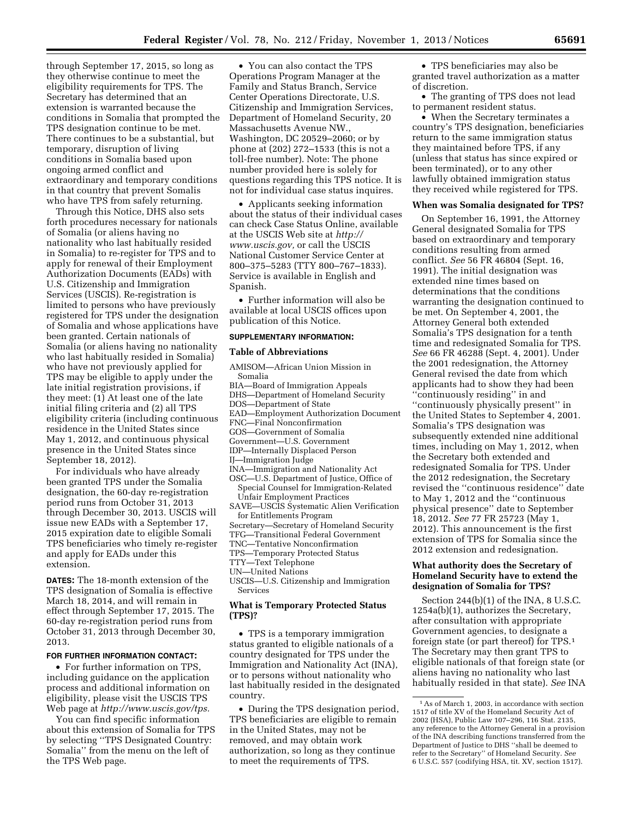through September 17, 2015, so long as they otherwise continue to meet the eligibility requirements for TPS. The Secretary has determined that an extension is warranted because the conditions in Somalia that prompted the TPS designation continue to be met. There continues to be a substantial, but temporary, disruption of living conditions in Somalia based upon ongoing armed conflict and extraordinary and temporary conditions in that country that prevent Somalis who have TPS from safely returning.

Through this Notice, DHS also sets forth procedures necessary for nationals of Somalia (or aliens having no nationality who last habitually resided in Somalia) to re-register for TPS and to apply for renewal of their Employment Authorization Documents (EADs) with U.S. Citizenship and Immigration Services (USCIS). Re-registration is limited to persons who have previously registered for TPS under the designation of Somalia and whose applications have been granted. Certain nationals of Somalia (or aliens having no nationality who last habitually resided in Somalia) who have not previously applied for TPS may be eligible to apply under the late initial registration provisions, if they meet: (1) At least one of the late initial filing criteria and (2) all TPS eligibility criteria (including continuous residence in the United States since May 1, 2012, and continuous physical presence in the United States since September 18, 2012).

For individuals who have already been granted TPS under the Somalia designation, the 60-day re-registration period runs from October 31, 2013 through December 30, 2013. USCIS will issue new EADs with a September 17, 2015 expiration date to eligible Somali TPS beneficiaries who timely re-register and apply for EADs under this extension.

**DATES:** The 18-month extension of the TPS designation of Somalia is effective March 18, 2014, and will remain in effect through September 17, 2015. The 60-day re-registration period runs from October 31, 2013 through December 30, 2013.

#### **FOR FURTHER INFORMATION CONTACT:**

• For further information on TPS, including guidance on the application process and additional information on eligibility, please visit the USCIS TPS Web page at *[http://www.uscis.gov/tps.](http://www.uscis.gov/tps)* 

You can find specific information about this extension of Somalia for TPS by selecting ''TPS Designated Country: Somalia'' from the menu on the left of the TPS Web page.

• You can also contact the TPS Operations Program Manager at the Family and Status Branch, Service Center Operations Directorate, U.S. Citizenship and Immigration Services, Department of Homeland Security, 20 Massachusetts Avenue NW., Washington, DC 20529–2060; or by phone at (202) 272–1533 (this is not a toll-free number). Note: The phone number provided here is solely for questions regarding this TPS notice. It is not for individual case status inquires.

• Applicants seeking information about the status of their individual cases can check Case Status Online, available at the USCIS Web site at *[http://](http://www.uscis.gov) [www.uscis.gov,](http://www.uscis.gov)* or call the USCIS National Customer Service Center at 800–375–5283 (TTY 800–767–1833). Service is available in English and Spanish.

• Further information will also be available at local USCIS offices upon publication of this Notice.

### **SUPPLEMENTARY INFORMATION:**

#### **Table of Abbreviations**

- AMISOM—African Union Mission in Somalia BIA—Board of Immigration Appeals DHS—Department of Homeland Security
- DOS—Department of State
- EAD—Employment Authorization Document
- FNC—Final Nonconfirmation
- GOS—Government of Somalia
- Government—U.S. Government
- IDP—Internally Displaced Person
- IJ—Immigration Judge
- INA—Immigration and Nationality Act
- OSC—U.S. Department of Justice, Office of Special Counsel for Immigration-Related Unfair Employment Practices
- SAVE—USCIS Systematic Alien Verification for Entitlements Program
- Secretary—Secretary of Homeland Security
- TFG—Transitional Federal Government
- TNC—Tentative Nonconfirmation
- TPS—Temporary Protected Status
- TTY—Text Telephone
- UN—United Nations

USCIS—U.S. Citizenship and Immigration Services

#### **What is Temporary Protected Status (TPS)?**

• TPS is a temporary immigration status granted to eligible nationals of a country designated for TPS under the Immigration and Nationality Act (INA), or to persons without nationality who last habitually resided in the designated country.

• During the TPS designation period, TPS beneficiaries are eligible to remain in the United States, may not be removed, and may obtain work authorization, so long as they continue to meet the requirements of TPS.

• TPS beneficiaries may also be granted travel authorization as a matter of discretion.

• The granting of TPS does not lead to permanent resident status.

• When the Secretary terminates a country's TPS designation, beneficiaries return to the same immigration status they maintained before TPS, if any (unless that status has since expired or been terminated), or to any other lawfully obtained immigration status they received while registered for TPS.

#### **When was Somalia designated for TPS?**

On September 16, 1991, the Attorney General designated Somalia for TPS based on extraordinary and temporary conditions resulting from armed conflict. *See* 56 FR 46804 (Sept. 16, 1991). The initial designation was extended nine times based on determinations that the conditions warranting the designation continued to be met. On September 4, 2001, the Attorney General both extended Somalia's TPS designation for a tenth time and redesignated Somalia for TPS. *See* 66 FR 46288 (Sept. 4, 2001). Under the 2001 redesignation, the Attorney General revised the date from which applicants had to show they had been ''continuously residing'' in and ''continuously physically present'' in the United States to September 4, 2001. Somalia's TPS designation was subsequently extended nine additional times, including on May 1, 2012, when the Secretary both extended and redesignated Somalia for TPS. Under the 2012 redesignation, the Secretary revised the ''continuous residence'' date to May 1, 2012 and the ''continuous physical presence'' date to September 18, 2012. *See* 77 FR 25723 (May 1, 2012). This announcement is the first extension of TPS for Somalia since the 2012 extension and redesignation.

# **What authority does the Secretary of Homeland Security have to extend the designation of Somalia for TPS?**

Section 244(b)(1) of the INA, 8 U.S.C. 1254a(b)(1), authorizes the Secretary, after consultation with appropriate Government agencies, to designate a foreign state (or part thereof) for TPS.1 The Secretary may then grant TPS to eligible nationals of that foreign state (or aliens having no nationality who last habitually resided in that state). *See* INA

<sup>1</sup>As of March 1, 2003, in accordance with section 1517 of title XV of the Homeland Security Act of 2002 (HSA), Public Law 107–296, 116 Stat. 2135, any reference to the Attorney General in a provision of the INA describing functions transferred from the Department of Justice to DHS ''shall be deemed to refer to the Secretary'' of Homeland Security. *See*  6 U.S.C. 557 (codifying HSA, tit. XV, section 1517).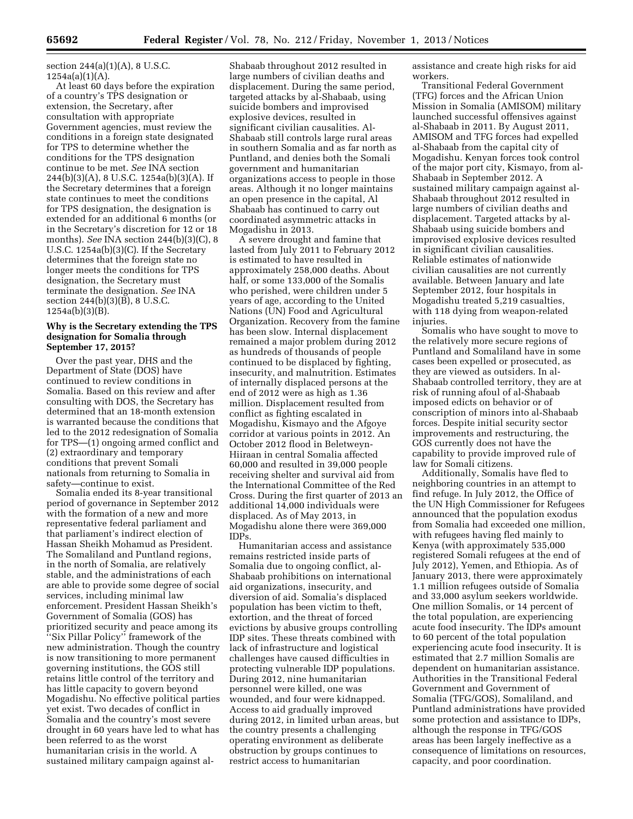section 244(a)(1)(A), 8 U.S.C.  $1254a(a)(1)(A)$ .

At least 60 days before the expiration of a country's TPS designation or extension, the Secretary, after consultation with appropriate Government agencies, must review the conditions in a foreign state designated for TPS to determine whether the conditions for the TPS designation continue to be met. *See* INA section 244(b)(3)(A), 8 U.S.C. 1254a(b)(3)(A). If the Secretary determines that a foreign state continues to meet the conditions for TPS designation, the designation is extended for an additional 6 months (or in the Secretary's discretion for 12 or 18 months). *See* INA section 244(b)(3)(C), 8 U.S.C. 1254a(b)(3)(C). If the Secretary determines that the foreign state no longer meets the conditions for TPS designation, the Secretary must terminate the designation. *See* INA section 244(b)(3)(B), 8 U.S.C. 1254a(b)(3)(B).

#### **Why is the Secretary extending the TPS designation for Somalia through September 17, 2015?**

Over the past year, DHS and the Department of State (DOS) have continued to review conditions in Somalia. Based on this review and after consulting with DOS, the Secretary has determined that an 18-month extension is warranted because the conditions that led to the 2012 redesignation of Somalia for TPS—(1) ongoing armed conflict and (2) extraordinary and temporary conditions that prevent Somali nationals from returning to Somalia in safety—continue to exist.

Somalia ended its 8-year transitional period of governance in September 2012 with the formation of a new and more representative federal parliament and that parliament's indirect election of Hassan Sheikh Mohamud as President. The Somaliland and Puntland regions, in the north of Somalia, are relatively stable, and the administrations of each are able to provide some degree of social services, including minimal law enforcement. President Hassan Sheikh's Government of Somalia (GOS) has prioritized security and peace among its ''Six Pillar Policy'' framework of the new administration. Though the country is now transitioning to more permanent governing institutions, the GOS still retains little control of the territory and has little capacity to govern beyond Mogadishu. No effective political parties yet exist. Two decades of conflict in Somalia and the country's most severe drought in 60 years have led to what has been referred to as the worst humanitarian crisis in the world. A sustained military campaign against alShabaab throughout 2012 resulted in large numbers of civilian deaths and displacement. During the same period, targeted attacks by al-Shabaab, using suicide bombers and improvised explosive devices, resulted in significant civilian causalities. Al-Shabaab still controls large rural areas in southern Somalia and as far north as Puntland, and denies both the Somali government and humanitarian organizations access to people in those areas. Although it no longer maintains an open presence in the capital, Al Shabaab has continued to carry out coordinated asymmetric attacks in Mogadishu in 2013.

A severe drought and famine that lasted from July 2011 to February 2012 is estimated to have resulted in approximately 258,000 deaths. About half, or some 133,000 of the Somalis who perished, were children under 5 years of age, according to the United Nations (UN) Food and Agricultural Organization. Recovery from the famine has been slow. Internal displacement remained a major problem during 2012 as hundreds of thousands of people continued to be displaced by fighting, insecurity, and malnutrition. Estimates of internally displaced persons at the end of 2012 were as high as 1.36 million. Displacement resulted from conflict as fighting escalated in Mogadishu, Kismayo and the Afgoye corridor at various points in 2012. An October 2012 flood in Beletweyn-Hiiraan in central Somalia affected 60,000 and resulted in 39,000 people receiving shelter and survival aid from the International Committee of the Red Cross. During the first quarter of 2013 an additional 14,000 individuals were displaced. As of May 2013, in Mogadishu alone there were 369,000 IDPs.

Humanitarian access and assistance remains restricted inside parts of Somalia due to ongoing conflict, al-Shabaab prohibitions on international aid organizations, insecurity, and diversion of aid. Somalia's displaced population has been victim to theft, extortion, and the threat of forced evictions by abusive groups controlling IDP sites. These threats combined with lack of infrastructure and logistical challenges have caused difficulties in protecting vulnerable IDP populations. During 2012, nine humanitarian personnel were killed, one was wounded, and four were kidnapped. Access to aid gradually improved during 2012, in limited urban areas, but the country presents a challenging operating environment as deliberate obstruction by groups continues to restrict access to humanitarian

assistance and create high risks for aid workers.

Transitional Federal Government (TFG) forces and the African Union Mission in Somalia (AMISOM) military launched successful offensives against al-Shabaab in 2011. By August 2011, AMISOM and TFG forces had expelled al-Shabaab from the capital city of Mogadishu. Kenyan forces took control of the major port city, Kismayo, from al-Shabaab in September 2012. A sustained military campaign against al-Shabaab throughout 2012 resulted in large numbers of civilian deaths and displacement. Targeted attacks by al-Shabaab using suicide bombers and improvised explosive devices resulted in significant civilian causalities. Reliable estimates of nationwide civilian causalities are not currently available. Between January and late September 2012, four hospitals in Mogadishu treated 5,219 casualties, with 118 dying from weapon-related injuries.

Somalis who have sought to move to the relatively more secure regions of Puntland and Somaliland have in some cases been expelled or prosecuted, as they are viewed as outsiders. In al-Shabaab controlled territory, they are at risk of running afoul of al-Shabaab imposed edicts on behavior or of conscription of minors into al-Shabaab forces. Despite initial security sector improvements and restructuring, the GOS currently does not have the capability to provide improved rule of law for Somali citizens.

Additionally, Somalis have fled to neighboring countries in an attempt to find refuge. In July 2012, the Office of the UN High Commissioner for Refugees announced that the population exodus from Somalia had exceeded one million, with refugees having fled mainly to Kenya (with approximately 535,000 registered Somali refugees at the end of July 2012), Yemen, and Ethiopia. As of January 2013, there were approximately 1.1 million refugees outside of Somalia and 33,000 asylum seekers worldwide. One million Somalis, or 14 percent of the total population, are experiencing acute food insecurity. The IDPs amount to 60 percent of the total population experiencing acute food insecurity. It is estimated that 2.7 million Somalis are dependent on humanitarian assistance. Authorities in the Transitional Federal Government and Government of Somalia (TFG/GOS), Somaliland, and Puntland administrations have provided some protection and assistance to IDPs, although the response in TFG/GOS areas has been largely ineffective as a consequence of limitations on resources, capacity, and poor coordination.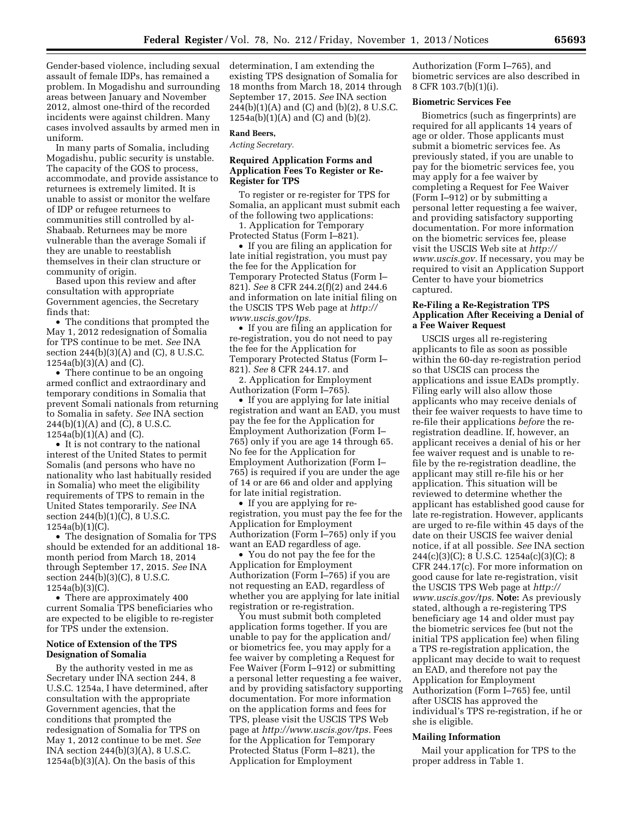Gender-based violence, including sexual assault of female IDPs, has remained a problem. In Mogadishu and surrounding areas between January and November 2012, almost one-third of the recorded incidents were against children. Many cases involved assaults by armed men in uniform.

In many parts of Somalia, including Mogadishu, public security is unstable. The capacity of the GOS to process, accommodate, and provide assistance to returnees is extremely limited. It is unable to assist or monitor the welfare of IDP or refugee returnees to communities still controlled by al-Shabaab. Returnees may be more vulnerable than the average Somali if they are unable to reestablish themselves in their clan structure or community of origin.

Based upon this review and after consultation with appropriate Government agencies, the Secretary finds that:

• The conditions that prompted the May 1, 2012 redesignation of Somalia for TPS continue to be met. *See* INA section 244(b)(3)(A) and (C), 8 U.S.C.  $1254a(b)(3)(A)$  and  $(C)$ .

• There continue to be an ongoing armed conflict and extraordinary and temporary conditions in Somalia that prevent Somali nationals from returning to Somalia in safety. *See* INA section 244(b)(1)(A) and (C), 8 U.S.C.  $1254a(b)(1)(A)$  and  $(C)$ .

• It is not contrary to the national interest of the United States to permit Somalis (and persons who have no nationality who last habitually resided in Somalia) who meet the eligibility requirements of TPS to remain in the United States temporarily. *See* INA section 244(b)(1)(C), 8 U.S.C. 1254a(b)(1)(C).

• The designation of Somalia for TPS should be extended for an additional 18 month period from March 18, 2014 through September 17, 2015. *See* INA section 244(b)(3)(C), 8 U.S.C. 1254a(b)(3)(C).

• There are approximately 400 current Somalia TPS beneficiaries who are expected to be eligible to re-register for TPS under the extension.

## **Notice of Extension of the TPS Designation of Somalia**

By the authority vested in me as Secretary under INA section 244, 8 U.S.C. 1254a, I have determined, after consultation with the appropriate Government agencies, that the conditions that prompted the redesignation of Somalia for TPS on May 1, 2012 continue to be met. *See*  INA section 244(b)(3)(A), 8 U.S.C.  $1254a(b)(3)(A)$ . On the basis of this

determination, I am extending the existing TPS designation of Somalia for 18 months from March 18, 2014 through September 17, 2015. *See* INA section 244(b)(1)(A) and (C) and (b)(2), 8 U.S.C. 1254a(b)(1)(A) and (C) and (b)(2).

#### **Rand Beers,**

*Acting Secretary.* 

## **Required Application Forms and Application Fees To Register or Re-Register for TPS**

To register or re-register for TPS for Somalia, an applicant must submit each of the following two applications:

1. Application for Temporary Protected Status (Form I–821).

• If you are filing an application for late initial registration, you must pay the fee for the Application for Temporary Protected Status (Form I– 821). *See* 8 CFR 244.2(f)(2) and 244.6 and information on late initial filing on the USCIS TPS Web page at *[http://](http://www.uscis.gov/tps) [www.uscis.gov/tps.](http://www.uscis.gov/tps)* 

• If you are filing an application for re-registration, you do not need to pay the fee for the Application for Temporary Protected Status (Form I– 821). *See* 8 CFR 244.17. and

2. Application for Employment Authorization (Form I–765).

• If you are applying for late initial registration and want an EAD, you must pay the fee for the Application for Employment Authorization (Form I– 765) only if you are age 14 through 65. No fee for the Application for Employment Authorization (Form I– 765) is required if you are under the age of 14 or are 66 and older and applying for late initial registration.

• If you are applying for reregistration, you must pay the fee for the Application for Employment Authorization (Form I–765) only if you want an EAD regardless of age.

• You do not pay the fee for the Application for Employment Authorization (Form I–765) if you are not requesting an EAD, regardless of whether you are applying for late initial registration or re-registration.

You must submit both completed application forms together. If you are unable to pay for the application and/ or biometrics fee, you may apply for a fee waiver by completing a Request for Fee Waiver (Form I–912) or submitting a personal letter requesting a fee waiver, and by providing satisfactory supporting documentation. For more information on the application forms and fees for TPS, please visit the USCIS TPS Web page at *[http://www.uscis.gov/tps.](http://www.uscis.gov/tps)* Fees for the Application for Temporary Protected Status (Form I–821), the Application for Employment

Authorization (Form I–765), and biometric services are also described in 8 CFR 103.7(b)(1)(i).

# **Biometric Services Fee**

Biometrics (such as fingerprints) are required for all applicants 14 years of age or older. Those applicants must submit a biometric services fee. As previously stated, if you are unable to pay for the biometric services fee, you may apply for a fee waiver by completing a Request for Fee Waiver (Form I–912) or by submitting a personal letter requesting a fee waiver, and providing satisfactory supporting documentation. For more information on the biometric services fee, please visit the USCIS Web site at *[http://](http://www.uscis.gov)  [www.uscis.gov.](http://www.uscis.gov)* If necessary, you may be required to visit an Application Support Center to have your biometrics captured.

## **Re-Filing a Re-Registration TPS Application After Receiving a Denial of a Fee Waiver Request**

USCIS urges all re-registering applicants to file as soon as possible within the 60-day re-registration period so that USCIS can process the applications and issue EADs promptly. Filing early will also allow those applicants who may receive denials of their fee waiver requests to have time to re-file their applications *before* the reregistration deadline. If, however, an applicant receives a denial of his or her fee waiver request and is unable to refile by the re-registration deadline, the applicant may still re-file his or her application. This situation will be reviewed to determine whether the applicant has established good cause for late re-registration. However, applicants are urged to re-file within 45 days of the date on their USCIS fee waiver denial notice, if at all possible. *See* INA section 244(c)(3)(C); 8 U.S.C. 1254a(c)(3)(C); 8 CFR 244.17(c). For more information on good cause for late re-registration, visit the USCIS TPS Web page at *[http://](http://www.uscis.gov/tps) [www.uscis.gov/tps.](http://www.uscis.gov/tps)* **Note:** As previously stated, although a re-registering TPS beneficiary age 14 and older must pay the biometric services fee (but not the initial TPS application fee) when filing a TPS re-registration application, the applicant may decide to wait to request an EAD, and therefore not pay the Application for Employment Authorization (Form I–765) fee, until after USCIS has approved the individual's TPS re-registration, if he or she is eligible.

#### **Mailing Information**

Mail your application for TPS to the proper address in Table 1.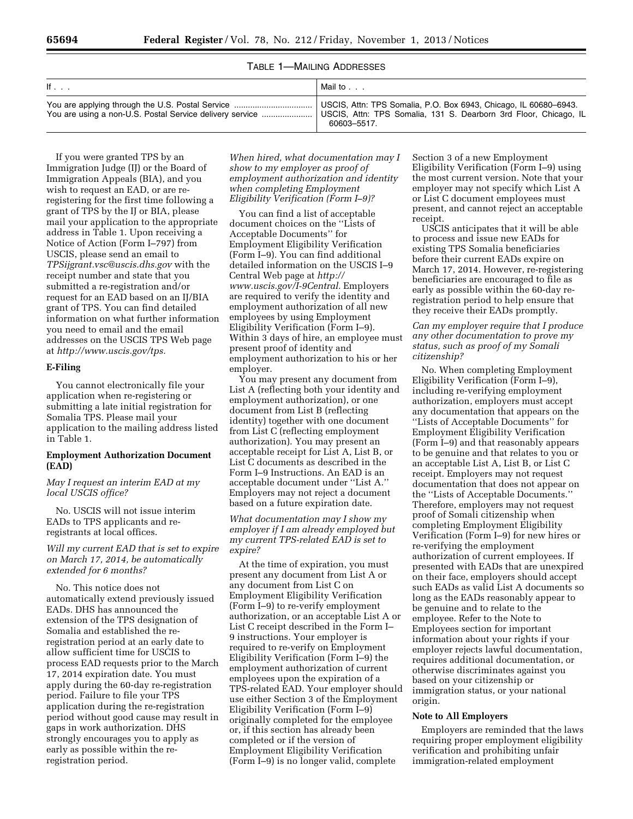# TABLE 1—MAILING ADDRESSES

| lf                                                       | Mail to $\ldots$                                                 |
|----------------------------------------------------------|------------------------------------------------------------------|
|                                                          | USCIS, Attn: TPS Somalia, 131 S. Dearborn 3rd Floor, Chicago, IL |
| You are using a non-U.S. Postal Service delivery service | 60603-5517.                                                      |

If you were granted TPS by an Immigration Judge (IJ) or the Board of Immigration Appeals (BIA), and you wish to request an EAD, or are reregistering for the first time following a grant of TPS by the IJ or BIA, please mail your application to the appropriate address in Table 1. Upon receiving a Notice of Action (Form I–797) from USCIS, please send an email to *[TPSijgrant.vsc@uscis.dhs.gov](mailto:TPSijgrant.vsc@uscis.dhs.gov)* with the receipt number and state that you submitted a re-registration and/or request for an EAD based on an IJ/BIA grant of TPS. You can find detailed information on what further information you need to email and the email addresses on the USCIS TPS Web page at *[http://www.uscis.gov/tps.](http://www.uscis.gov/tps)* 

### **E-Filing**

You cannot electronically file your application when re-registering or submitting a late initial registration for Somalia TPS. Please mail your application to the mailing address listed in Table 1.

# **Employment Authorization Document (EAD)**

*May I request an interim EAD at my local USCIS office?* 

No. USCIS will not issue interim EADs to TPS applicants and reregistrants at local offices.

*Will my current EAD that is set to expire on March 17, 2014, be automatically extended for 6 months?* 

No. This notice does not automatically extend previously issued EADs. DHS has announced the extension of the TPS designation of Somalia and established the reregistration period at an early date to allow sufficient time for USCIS to process EAD requests prior to the March 17, 2014 expiration date. You must apply during the 60-day re-registration period. Failure to file your TPS application during the re-registration period without good cause may result in gaps in work authorization. DHS strongly encourages you to apply as early as possible within the reregistration period.

*When hired, what documentation may I show to my employer as proof of employment authorization and identity when completing Employment Eligibility Verification (Form I–9)?* 

You can find a list of acceptable document choices on the ''Lists of Acceptable Documents'' for Employment Eligibility Verification (Form I–9). You can find additional detailed information on the USCIS I–9 Central Web page at *[http://](http://www.uscis.gov/I-9Central) [www.uscis.gov/I-9Central.](http://www.uscis.gov/I-9Central)* Employers are required to verify the identity and employment authorization of all new employees by using Employment Eligibility Verification (Form I–9). Within 3 days of hire, an employee must present proof of identity and employment authorization to his or her employer.

You may present any document from List A (reflecting both your identity and employment authorization), or one document from List B (reflecting identity) together with one document from List C (reflecting employment authorization). You may present an acceptable receipt for List A, List B, or List C documents as described in the Form I–9 Instructions. An EAD is an acceptable document under ''List A.'' Employers may not reject a document based on a future expiration date.

*What documentation may I show my employer if I am already employed but my current TPS-related EAD is set to expire?* 

At the time of expiration, you must present any document from List A or any document from List C on Employment Eligibility Verification (Form I–9) to re-verify employment authorization, or an acceptable List A or List C receipt described in the Form I– 9 instructions. Your employer is required to re-verify on Employment Eligibility Verification (Form I–9) the employment authorization of current employees upon the expiration of a TPS-related EAD. Your employer should use either Section 3 of the Employment Eligibility Verification (Form I–9) originally completed for the employee or, if this section has already been completed or if the version of Employment Eligibility Verification (Form I–9) is no longer valid, complete

Section 3 of a new Employment Eligibility Verification (Form I–9) using the most current version. Note that your employer may not specify which List A or List C document employees must present, and cannot reject an acceptable receipt.

USCIS anticipates that it will be able to process and issue new EADs for existing TPS Somalia beneficiaries before their current EADs expire on March 17, 2014. However, re-registering beneficiaries are encouraged to file as early as possible within the 60-day reregistration period to help ensure that they receive their EADs promptly.

*Can my employer require that I produce any other documentation to prove my status, such as proof of my Somali citizenship?* 

No. When completing Employment Eligibility Verification (Form I–9), including re-verifying employment authorization, employers must accept any documentation that appears on the ''Lists of Acceptable Documents'' for Employment Eligibility Verification (Form I–9) and that reasonably appears to be genuine and that relates to you or an acceptable List A, List B, or List C receipt. Employers may not request documentation that does not appear on the ''Lists of Acceptable Documents.'' Therefore, employers may not request proof of Somali citizenship when completing Employment Eligibility Verification (Form I–9) for new hires or re-verifying the employment authorization of current employees. If presented with EADs that are unexpired on their face, employers should accept such EADs as valid List A documents so long as the EADs reasonably appear to be genuine and to relate to the employee. Refer to the Note to Employees section for important information about your rights if your employer rejects lawful documentation, requires additional documentation, or otherwise discriminates against you based on your citizenship or immigration status, or your national origin.

#### **Note to All Employers**

Employers are reminded that the laws requiring proper employment eligibility verification and prohibiting unfair immigration-related employment